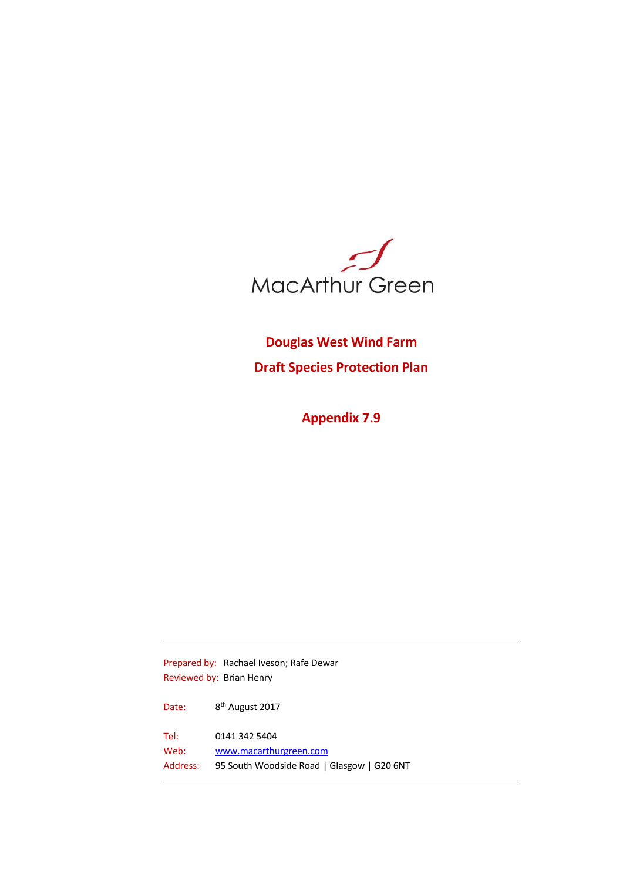

**Douglas West Wind Farm Draft Species Protection Plan**

**Appendix 7.9**

Prepared by: Rachael Iveson; Rafe Dewar Reviewed by: Brian Henry Date: 8<sup>th</sup> August 2017 Tel: 0141 342 5404 Web: [www.macarthurgreen.com](http://www.macarthurgreen.com/) Address: 95 South Woodside Road | Glasgow | G20 6NT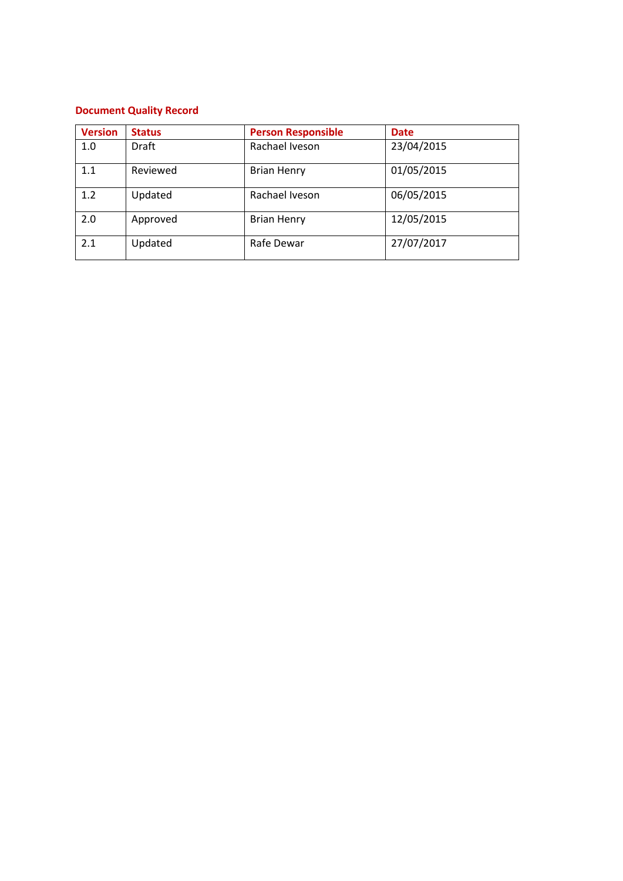# **Document Quality Record**

| <b>Version</b> | <b>Status</b> | <b>Person Responsible</b> | <b>Date</b> |
|----------------|---------------|---------------------------|-------------|
| 1.0            | Draft         | Rachael Iveson            | 23/04/2015  |
| 1.1            | Reviewed      | <b>Brian Henry</b>        | 01/05/2015  |
| 1.2            | Updated       | Rachael Iveson            | 06/05/2015  |
| 2.0            | Approved      | <b>Brian Henry</b>        | 12/05/2015  |
| 2.1            | Updated       | Rafe Dewar                | 27/07/2017  |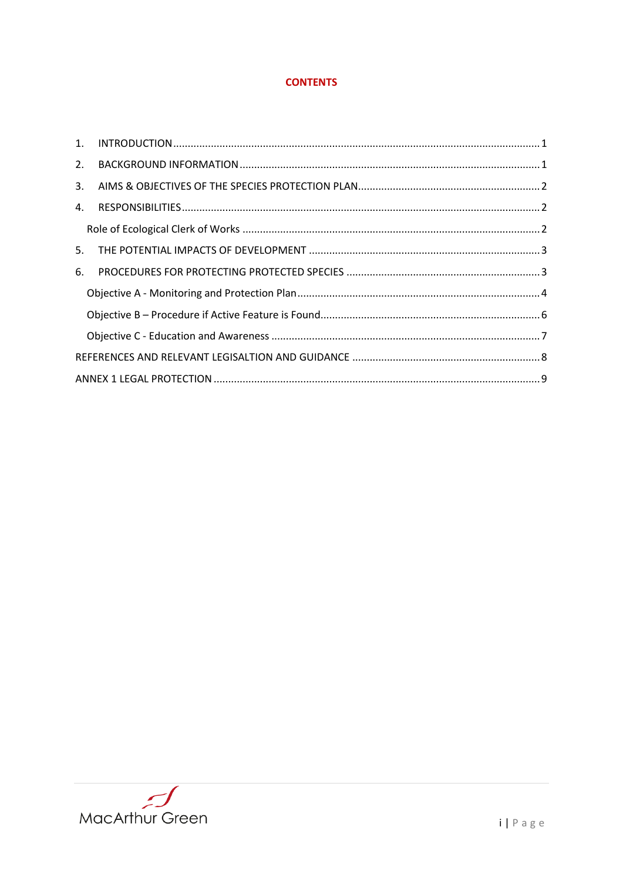# **CONTENTS**

| 2. |  |  |  |
|----|--|--|--|
| 3. |  |  |  |
| 4. |  |  |  |
|    |  |  |  |
| 5. |  |  |  |
| 6. |  |  |  |
|    |  |  |  |
|    |  |  |  |
|    |  |  |  |
|    |  |  |  |
|    |  |  |  |

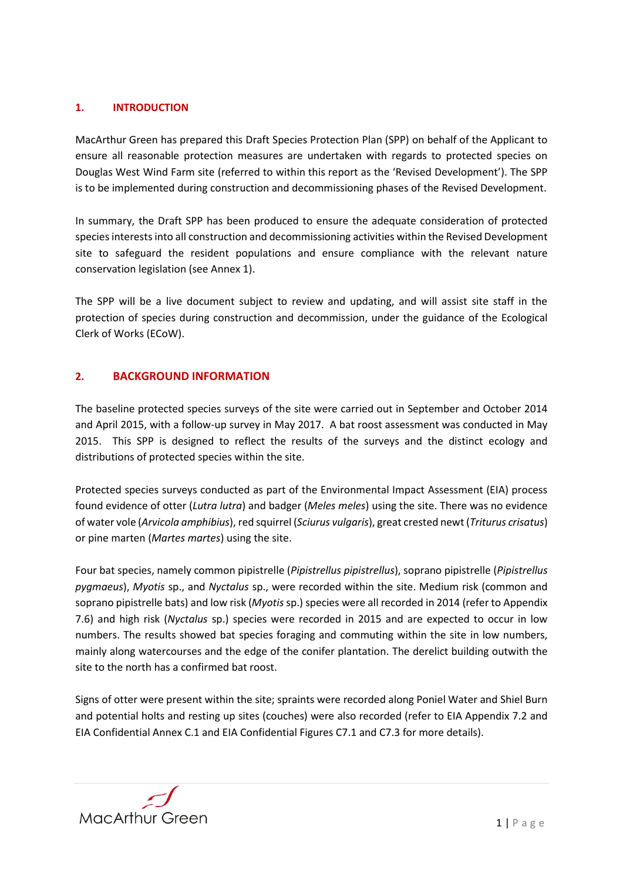# <span id="page-3-0"></span>**1. INTRODUCTION**

MacArthur Green has prepared this Draft Species Protection Plan (SPP) on behalf of the Applicant to ensure all reasonable protection measures are undertaken with regards to protected species on Douglas West Wind Farm site (referred to within this report as the 'Revised Development'). The SPP is to be implemented during construction and decommissioning phases of the Revised Development.

In summary, the Draft SPP has been produced to ensure the adequate consideration of protected species interests into all construction and decommissioning activities within the Revised Development site to safeguard the resident populations and ensure compliance with the relevant nature conservation legislation (see Annex 1).

The SPP will be a live document subject to review and updating, and will assist site staff in the protection of species during construction and decommission, under the guidance of the Ecological Clerk of Works (ECoW).

# <span id="page-3-1"></span>**2. BACKGROUND INFORMATION**

The baseline protected species surveys of the site were carried out in September and October 2014 and April 2015, with a follow-up survey in May 2017. A bat roost assessment was conducted in May 2015. This SPP is designed to reflect the results of the surveys and the distinct ecology and distributions of protected species within the site.

Protected species surveys conducted as part of the Environmental Impact Assessment (EIA) process found evidence of otter (*Lutra lutra*) and badger (*Meles meles*) using the site. There was no evidence of water vole (*Arvicola amphibius*), red squirrel (*Sciurus vulgaris*), great crested newt (*Triturus crisatus*) or pine marten (*Martes martes*) using the site.

Four bat species, namely common pipistrelle (*Pipistrellus pipistrellus*), soprano pipistrelle (*Pipistrellus pygmaeus*), *Myotis* sp., and *Nyctalus* sp., were recorded within the site. Medium risk (common and soprano pipistrelle bats) and low risk (*Myotis* sp.) species were all recorded in 2014 (refer to Appendix 7.6) and high risk (*Nyctalus* sp.) species were recorded in 2015 and are expected to occur in low numbers. The results showed bat species foraging and commuting within the site in low numbers, mainly along watercourses and the edge of the conifer plantation. The derelict building outwith the site to the north has a confirmed bat roost.

Signs of otter were present within the site; spraints were recorded along Poniel Water and Shiel Burn and potential holts and resting up sites (couches) were also recorded (refer to EIA Appendix 7.2 and EIA Confidential Annex C.1 and EIA Confidential Figures C7.1 and C7.3 for more details).

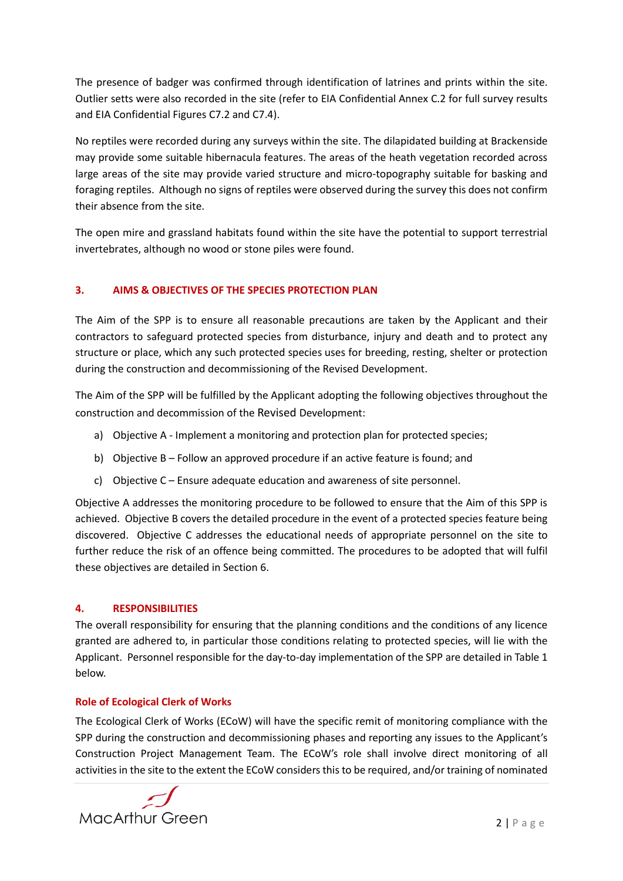The presence of badger was confirmed through identification of latrines and prints within the site. Outlier setts were also recorded in the site (refer to EIA Confidential Annex C.2 for full survey results and EIA Confidential Figures C7.2 and C7.4).

No reptiles were recorded during any surveys within the site. The dilapidated building at Brackenside may provide some suitable hibernacula features. The areas of the heath vegetation recorded across large areas of the site may provide varied structure and micro-topography suitable for basking and foraging reptiles. Although no signs of reptiles were observed during the survey this does not confirm their absence from the site.

The open mire and grassland habitats found within the site have the potential to support terrestrial invertebrates, although no wood or stone piles were found.

# <span id="page-4-0"></span>**3. AIMS & OBJECTIVES OF THE SPECIES PROTECTION PLAN**

The Aim of the SPP is to ensure all reasonable precautions are taken by the Applicant and their contractors to safeguard protected species from disturbance, injury and death and to protect any structure or place, which any such protected species uses for breeding, resting, shelter or protection during the construction and decommissioning of the Revised Development.

The Aim of the SPP will be fulfilled by the Applicant adopting the following objectives throughout the construction and decommission of the Revised Development:

- a) Objective A Implement a monitoring and protection plan for protected species;
- b) Objective B Follow an approved procedure if an active feature is found; and
- c) Objective C Ensure adequate education and awareness of site personnel.

Objective A addresses the monitoring procedure to be followed to ensure that the Aim of this SPP is achieved. Objective B covers the detailed procedure in the event of a protected species feature being discovered. Objective C addresses the educational needs of appropriate personnel on the site to further reduce the risk of an offence being committed. The procedures to be adopted that will fulfil these objectives are detailed in Section 6.

# <span id="page-4-1"></span>**4. RESPONSIBILITIES**

The overall responsibility for ensuring that the planning conditions and the conditions of any licence granted are adhered to, in particular those conditions relating to protected species, will lie with the Applicant. Personnel responsible for the day-to-day implementation of the SPP are detailed in Table 1 below.

# <span id="page-4-2"></span>**Role of Ecological Clerk of Works**

The Ecological Clerk of Works (ECoW) will have the specific remit of monitoring compliance with the SPP during the construction and decommissioning phases and reporting any issues to the Applicant's Construction Project Management Team. The ECoW's role shall involve direct monitoring of all activities in the site to the extent the ECoW considers this to be required, and/or training of nominated

**MacArthur Green**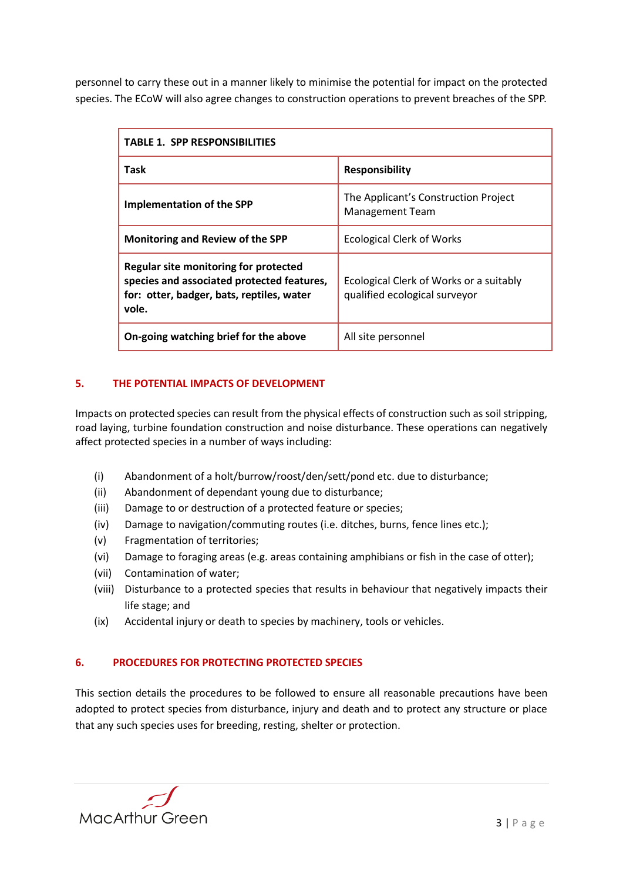personnel to carry these out in a manner likely to minimise the potential for impact on the protected species. The ECoW will also agree changes to construction operations to prevent breaches of the SPP.

| <b>TABLE 1. SPP RESPONSIBILITIES</b>                                                                                                      |                                                                          |  |  |  |
|-------------------------------------------------------------------------------------------------------------------------------------------|--------------------------------------------------------------------------|--|--|--|
| Task                                                                                                                                      | <b>Responsibility</b>                                                    |  |  |  |
| Implementation of the SPP                                                                                                                 | The Applicant's Construction Project<br><b>Management Team</b>           |  |  |  |
| Monitoring and Review of the SPP                                                                                                          | <b>Ecological Clerk of Works</b>                                         |  |  |  |
| Regular site monitoring for protected<br>species and associated protected features,<br>for: otter, badger, bats, reptiles, water<br>vole. | Ecological Clerk of Works or a suitably<br>qualified ecological surveyor |  |  |  |
| On-going watching brief for the above                                                                                                     | All site personnel                                                       |  |  |  |

# <span id="page-5-0"></span>**5. THE POTENTIAL IMPACTS OF DEVELOPMENT**

Impacts on protected species can result from the physical effects of construction such as soil stripping, road laying, turbine foundation construction and noise disturbance. These operations can negatively affect protected species in a number of ways including:

- (i) Abandonment of a holt/burrow/roost/den/sett/pond etc. due to disturbance;
- (ii) Abandonment of dependant young due to disturbance;
- (iii) Damage to or destruction of a protected feature or species;
- (iv) Damage to navigation/commuting routes (i.e. ditches, burns, fence lines etc.);
- (v) Fragmentation of territories;
- (vi) Damage to foraging areas (e.g. areas containing amphibians or fish in the case of otter);
- (vii) Contamination of water;
- (viii) Disturbance to a protected species that results in behaviour that negatively impacts their life stage; and
- (ix) Accidental injury or death to species by machinery, tools or vehicles.

### <span id="page-5-1"></span>**6. PROCEDURES FOR PROTECTING PROTECTED SPECIES**

This section details the procedures to be followed to ensure all reasonable precautions have been adopted to protect species from disturbance, injury and death and to protect any structure or place that any such species uses for breeding, resting, shelter or protection.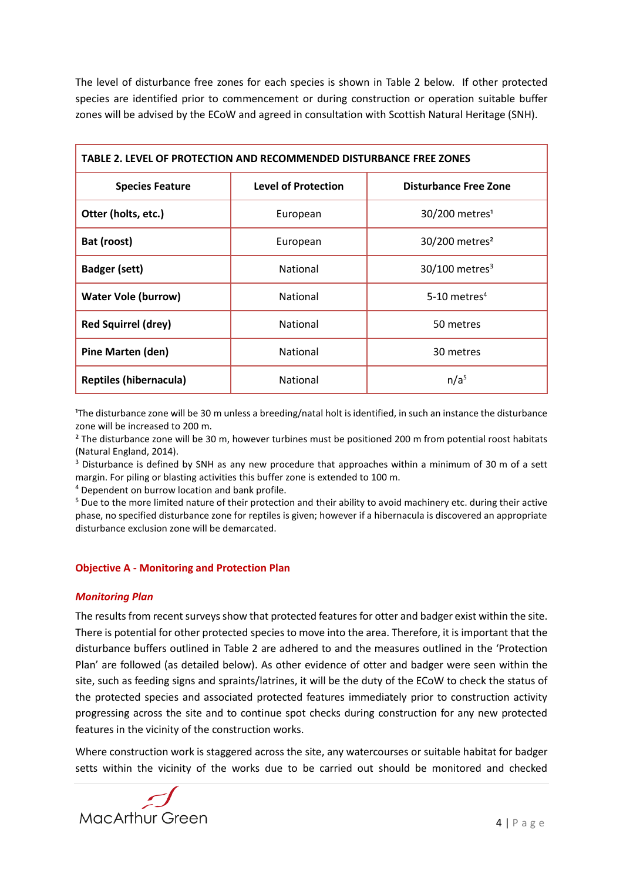The level of disturbance free zones for each species is shown in Table 2 below. If other protected species are identified prior to commencement or during construction or operation suitable buffer zones will be advised by the ECoW and agreed in consultation with Scottish Natural Heritage (SNH).

| TABLE 2. LEVEL OF PROTECTION AND RECOMMENDED DISTURBANCE FREE ZONES |                            |                              |  |  |  |
|---------------------------------------------------------------------|----------------------------|------------------------------|--|--|--|
| <b>Species Feature</b>                                              | <b>Level of Protection</b> | <b>Disturbance Free Zone</b> |  |  |  |
| Otter (holts, etc.)                                                 | European                   | 30/200 metres <sup>1</sup>   |  |  |  |
| Bat (roost)                                                         | European                   | 30/200 metres <sup>2</sup>   |  |  |  |
| <b>Badger (sett)</b>                                                | National                   | $30/100$ metres <sup>3</sup> |  |  |  |
| <b>Water Vole (burrow)</b>                                          | National                   | 5-10 metres <sup>4</sup>     |  |  |  |
| <b>Red Squirrel (drey)</b>                                          | <b>National</b>            | 50 metres                    |  |  |  |
| <b>Pine Marten (den)</b>                                            | National                   | 30 metres                    |  |  |  |
| <b>Reptiles (hibernacula)</b>                                       | National                   | n/a <sup>5</sup>             |  |  |  |

<sup>1</sup>The disturbance zone will be 30 m unless a breeding/natal holt is identified, in such an instance the disturbance zone will be increased to 200 m.

² The disturbance zone will be 30 m, however turbines must be positioned 200 m from potential roost habitats (Natural England, 2014).

<sup>3</sup> Disturbance is defined by SNH as any new procedure that approaches within a minimum of 30 m of a sett margin. For piling or blasting activities this buffer zone is extended to 100 m.

<sup>4</sup> Dependent on burrow location and bank profile.

<sup>5</sup> Due to the more limited nature of their protection and their ability to avoid machinery etc. during their active phase, no specified disturbance zone for reptiles is given; however if a hibernacula is discovered an appropriate disturbance exclusion zone will be demarcated.

### <span id="page-6-0"></span>**Objective A - Monitoring and Protection Plan**

### *Monitoring Plan*

The results from recent surveys show that protected features for otter and badger exist within the site. There is potential for other protected species to move into the area. Therefore, it is important that the disturbance buffers outlined in Table 2 are adhered to and the measures outlined in the 'Protection Plan' are followed (as detailed below). As other evidence of otter and badger were seen within the site, such as feeding signs and spraints/latrines, it will be the duty of the ECoW to check the status of the protected species and associated protected features immediately prior to construction activity progressing across the site and to continue spot checks during construction for any new protected features in the vicinity of the construction works.

Where construction work is staggered across the site, any watercourses or suitable habitat for badger setts within the vicinity of the works due to be carried out should be monitored and checked

**MacArthur Green**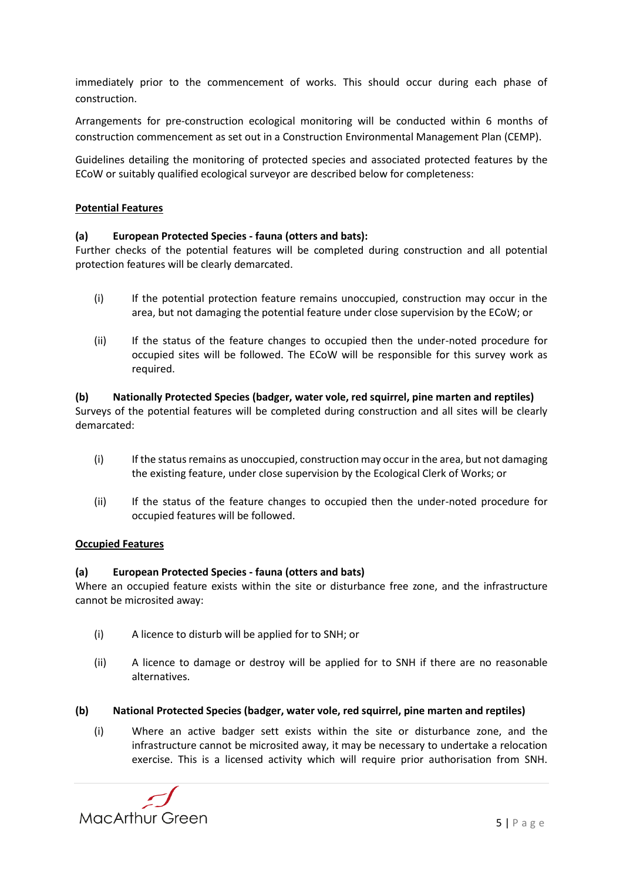immediately prior to the commencement of works. This should occur during each phase of construction.

Arrangements for pre-construction ecological monitoring will be conducted within 6 months of construction commencement as set out in a Construction Environmental Management Plan (CEMP).

Guidelines detailing the monitoring of protected species and associated protected features by the ECoW or suitably qualified ecological surveyor are described below for completeness:

## **Potential Features**

### **(a) European Protected Species - fauna (otters and bats):**

Further checks of the potential features will be completed during construction and all potential protection features will be clearly demarcated.

- (i) If the potential protection feature remains unoccupied, construction may occur in the area, but not damaging the potential feature under close supervision by the ECoW; or
- (ii) If the status of the feature changes to occupied then the under-noted procedure for occupied sites will be followed. The ECoW will be responsible for this survey work as required.

**(b) Nationally Protected Species (badger, water vole, red squirrel, pine marten and reptiles)** Surveys of the potential features will be completed during construction and all sites will be clearly demarcated:

- (i) If the status remains as unoccupied, construction may occur in the area, but not damaging the existing feature, under close supervision by the Ecological Clerk of Works; or
- (ii) If the status of the feature changes to occupied then the under-noted procedure for occupied features will be followed.

### **Occupied Features**

### **(a) European Protected Species - fauna (otters and bats)**

Where an occupied feature exists within the site or disturbance free zone, and the infrastructure cannot be microsited away:

- (i) A licence to disturb will be applied for to SNH; or
- (ii) A licence to damage or destroy will be applied for to SNH if there are no reasonable alternatives.

### **(b) National Protected Species (badger, water vole, red squirrel, pine marten and reptiles)**

(i) Where an active badger sett exists within the site or disturbance zone, and the infrastructure cannot be microsited away, it may be necessary to undertake a relocation exercise. This is a licensed activity which will require prior authorisation from SNH.

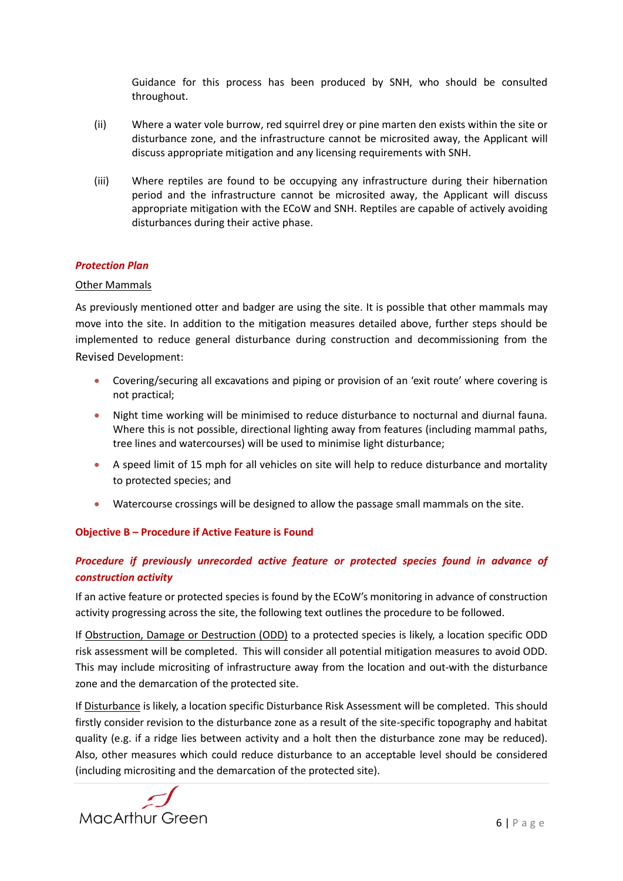Guidance for this process has been produced by SNH, who should be consulted throughout.

- (ii) Where a water vole burrow, red squirrel drey or pine marten den exists within the site or disturbance zone, and the infrastructure cannot be microsited away, the Applicant will discuss appropriate mitigation and any licensing requirements with SNH.
- (iii) Where reptiles are found to be occupying any infrastructure during their hibernation period and the infrastructure cannot be microsited away, the Applicant will discuss appropriate mitigation with the ECoW and SNH. Reptiles are capable of actively avoiding disturbances during their active phase.

### *Protection Plan*

### Other Mammals

As previously mentioned otter and badger are using the site. It is possible that other mammals may move into the site. In addition to the mitigation measures detailed above, further steps should be implemented to reduce general disturbance during construction and decommissioning from the Revised Development:

- Covering/securing all excavations and piping or provision of an 'exit route' where covering is not practical;
- Night time working will be minimised to reduce disturbance to nocturnal and diurnal fauna. Where this is not possible, directional lighting away from features (including mammal paths, tree lines and watercourses) will be used to minimise light disturbance;
- A speed limit of 15 mph for all vehicles on site will help to reduce disturbance and mortality to protected species; and
- Watercourse crossings will be designed to allow the passage small mammals on the site.

### <span id="page-8-0"></span>**Objective B – Procedure if Active Feature is Found**

# *Procedure if previously unrecorded active feature or protected species found in advance of construction activity*

If an active feature or protected species is found by the ECoW's monitoring in advance of construction activity progressing across the site, the following text outlines the procedure to be followed.

If Obstruction, Damage or Destruction (ODD) to a protected species is likely, a location specific ODD risk assessment will be completed. This will consider all potential mitigation measures to avoid ODD. This may include micrositing of infrastructure away from the location and out-with the disturbance zone and the demarcation of the protected site.

If Disturbance is likely, a location specific Disturbance Risk Assessment will be completed. This should firstly consider revision to the disturbance zone as a result of the site-specific topography and habitat quality (e.g. if a ridge lies between activity and a holt then the disturbance zone may be reduced). Also, other measures which could reduce disturbance to an acceptable level should be considered (including micrositing and the demarcation of the protected site).

**MacArthur Green**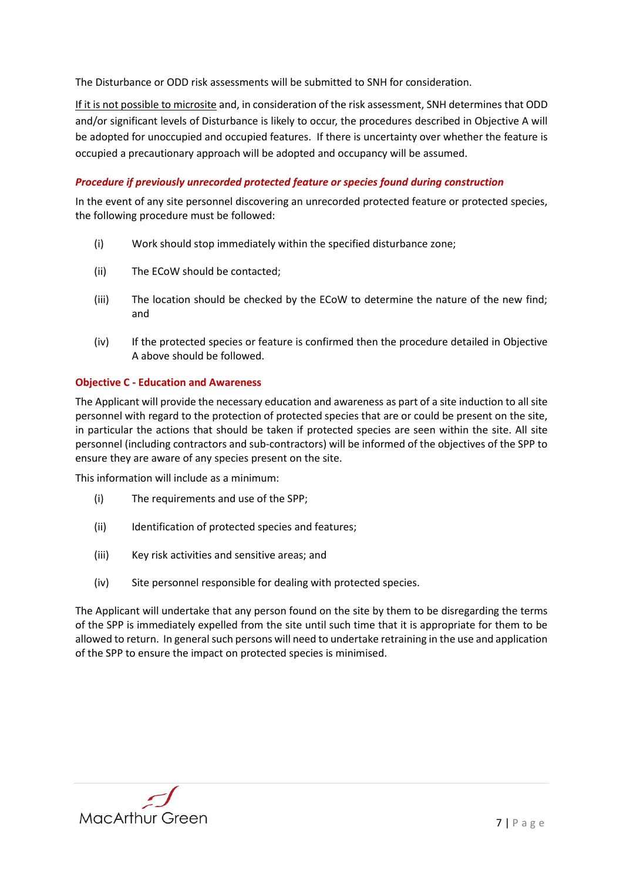The Disturbance or ODD risk assessments will be submitted to SNH for consideration.

If it is not possible to microsite and, in consideration of the risk assessment, SNH determines that ODD and/or significant levels of Disturbance is likely to occur, the procedures described in Objective A will be adopted for unoccupied and occupied features. If there is uncertainty over whether the feature is occupied a precautionary approach will be adopted and occupancy will be assumed.

## *Procedure if previously unrecorded protected feature or species found during construction*

In the event of any site personnel discovering an unrecorded protected feature or protected species, the following procedure must be followed:

- (i) Work should stop immediately within the specified disturbance zone;
- (ii) The ECoW should be contacted;
- (iii) The location should be checked by the ECoW to determine the nature of the new find; and
- (iv) If the protected species or feature is confirmed then the procedure detailed in Objective A above should be followed.

### <span id="page-9-0"></span>**Objective C - Education and Awareness**

The Applicant will provide the necessary education and awareness as part of a site induction to all site personnel with regard to the protection of protected species that are or could be present on the site, in particular the actions that should be taken if protected species are seen within the site. All site personnel (including contractors and sub-contractors) will be informed of the objectives of the SPP to ensure they are aware of any species present on the site.

This information will include as a minimum:

- (i) The requirements and use of the SPP;
- (ii) Identification of protected species and features;
- (iii) Key risk activities and sensitive areas; and
- (iv) Site personnel responsible for dealing with protected species.

The Applicant will undertake that any person found on the site by them to be disregarding the terms of the SPP is immediately expelled from the site until such time that it is appropriate for them to be allowed to return. In general such persons will need to undertake retraining in the use and application of the SPP to ensure the impact on protected species is minimised.

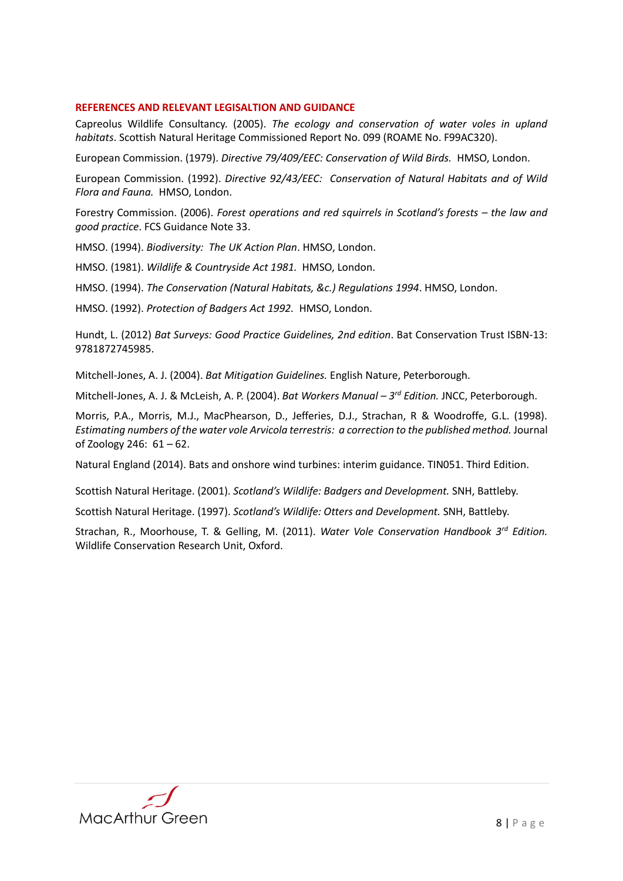### <span id="page-10-0"></span>**REFERENCES AND RELEVANT LEGISALTION AND GUIDANCE**

Capreolus Wildlife Consultancy. (2005). *The ecology and conservation of water voles in upland habitats*. Scottish Natural Heritage Commissioned Report No. 099 (ROAME No. F99AC320).

European Commission. (1979). *Directive 79/409/EEC: Conservation of Wild Birds.* HMSO, London.

European Commission. (1992). *Directive 92/43/EEC: Conservation of Natural Habitats and of Wild Flora and Fauna.* HMSO, London.

Forestry Commission. (2006). *Forest operations and red squirrels in Scotland's forests – the law and good practice*. FCS Guidance Note 33.

HMSO. (1994). *Biodiversity: The UK Action Plan*. HMSO, London.

HMSO. (1981). *Wildlife & Countryside Act 1981.* HMSO, London.

HMSO. (1994). *The Conservation (Natural Habitats, &c.) Regulations 1994*. HMSO, London.

HMSO. (1992). *Protection of Badgers Act 1992.* HMSO, London.

Hundt, L. (2012) *Bat Surveys: Good Practice Guidelines, 2nd edition*. Bat Conservation Trust ISBN-13: 9781872745985.

Mitchell-Jones, A. J. (2004). *Bat Mitigation Guidelines.* English Nature, Peterborough.

Mitchell-Jones, A. J. & McLeish, A. P. (2004). *Bat Workers Manual – 3 rd Edition.* JNCC, Peterborough.

Morris, P.A., Morris, M.J., MacPhearson, D., Jefferies, D.J., Strachan, R & Woodroffe, G.L. (1998). *Estimating numbers of the water vole Arvicola terrestris: a correction to the published method.* Journal of Zoology 246: 61 – 62.

Natural England (2014). Bats and onshore wind turbines: interim guidance. TIN051. Third Edition.

Scottish Natural Heritage. (2001). *Scotland's Wildlife: Badgers and Development.* SNH, Battleby.

Scottish Natural Heritage. (1997). *Scotland's Wildlife: Otters and Development.* SNH, Battleby.

Strachan, R., Moorhouse, T. & Gelling, M. (2011). *Water Vole Conservation Handbook 3 rd Edition.* Wildlife Conservation Research Unit, Oxford.

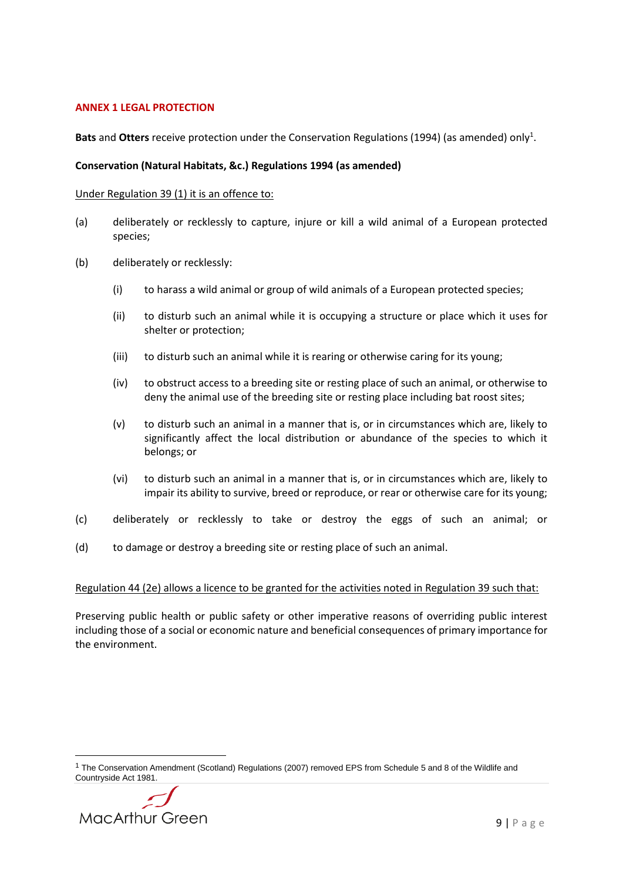### <span id="page-11-0"></span>**ANNEX 1 LEGAL PROTECTION**

Bats and Otters receive protection under the Conservation Regulations (1994) (as amended) only<sup>1</sup>.

### **Conservation (Natural Habitats, &c.) Regulations 1994 (as amended)**

### Under Regulation 39 (1) it is an offence to:

- (a) deliberately or recklessly to capture, injure or kill a wild animal of a European protected species;
- (b) deliberately or recklessly:
	- (i) to harass a wild animal or group of wild animals of a European protected species;
	- (ii) to disturb such an animal while it is occupying a structure or place which it uses for shelter or protection;
	- (iii) to disturb such an animal while it is rearing or otherwise caring for its young;
	- (iv) to obstruct access to a breeding site or resting place of such an animal, or otherwise to deny the animal use of the breeding site or resting place including bat roost sites;
	- (v) to disturb such an animal in a manner that is, or in circumstances which are, likely to significantly affect the local distribution or abundance of the species to which it belongs; or
	- (vi) to disturb such an animal in a manner that is, or in circumstances which are, likely to impair its ability to survive, breed or reproduce, or rear or otherwise care for its young;
- (c) deliberately or recklessly to take or destroy the eggs of such an animal; or
- (d) to damage or destroy a breeding site or resting place of such an animal.

### Regulation 44 (2e) allows a licence to be granted for the activities noted in Regulation 39 such that:

Preserving public health or public safety or other imperative reasons of overriding public interest including those of a social or economic nature and beneficial consequences of primary importance for the environment.

<sup>1</sup> The Conservation Amendment (Scotland) Regulations (2007) removed EPS from Schedule 5 and 8 of the Wildlife and Countryside Act 1981.



**.**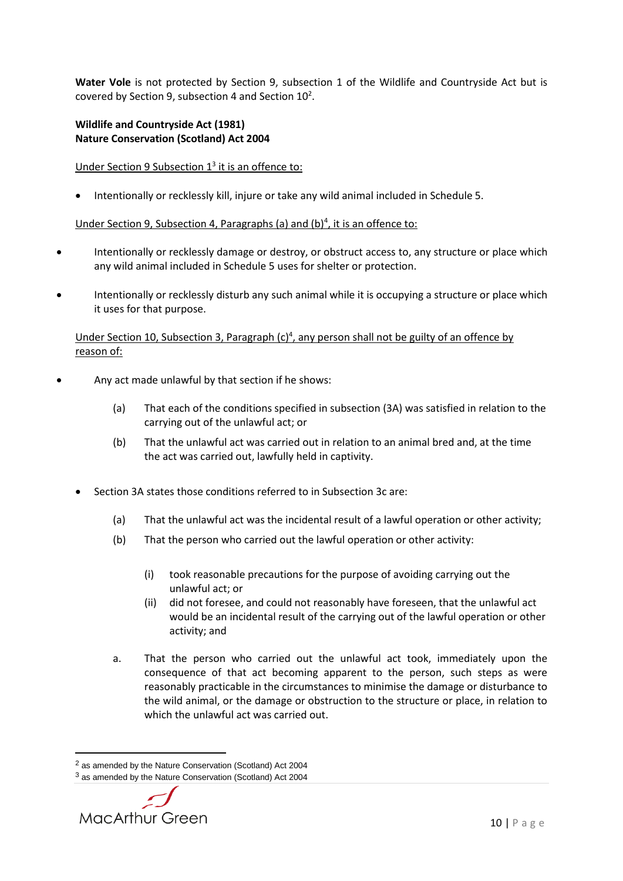**Water Vole** is not protected by Section 9, subsection 1 of the Wildlife and Countryside Act but is covered by Section 9, subsection 4 and Section  $10^2$ .

## **Wildlife and Countryside Act (1981) Nature Conservation (Scotland) Act 2004**

# Under Section 9 Subsection 1<sup>3</sup> it is an offence to:

Intentionally or recklessly kill, injure or take any wild animal included in Schedule 5.

# Under Section 9, Subsection 4, Paragraphs (a) and (b)<sup>4</sup>, it is an offence to:

- Intentionally or recklessly damage or destroy, or obstruct access to, any structure or place which any wild animal included in Schedule 5 uses for shelter or protection.
- Intentionally or recklessly disturb any such animal while it is occupying a structure or place which it uses for that purpose.

## Under Section 10, Subsection 3, Paragraph (c)<sup>4</sup>, any person shall not be guilty of an offence by reason of:

- Any act made unlawful by that section if he shows:
	- (a) That each of the conditions specified in subsection (3A) was satisfied in relation to the carrying out of the unlawful act; or
	- (b) That the unlawful act was carried out in relation to an animal bred and, at the time the act was carried out, lawfully held in captivity.
	- Section 3A states those conditions referred to in Subsection 3c are:
		- (a) That the unlawful act was the incidental result of a lawful operation or other activity;
		- (b) That the person who carried out the lawful operation or other activity:
			- (i) took reasonable precautions for the purpose of avoiding carrying out the unlawful act; or
			- (ii) did not foresee, and could not reasonably have foreseen, that the unlawful act would be an incidental result of the carrying out of the lawful operation or other activity; and
		- a. That the person who carried out the unlawful act took, immediately upon the consequence of that act becoming apparent to the person, such steps as were reasonably practicable in the circumstances to minimise the damage or disturbance to the wild animal, or the damage or obstruction to the structure or place, in relation to which the unlawful act was carried out.

<sup>3</sup> as amended by the Nature Conservation (Scotland) Act 2004



**.** 

<sup>2</sup> as amended by the Nature Conservation (Scotland) Act 2004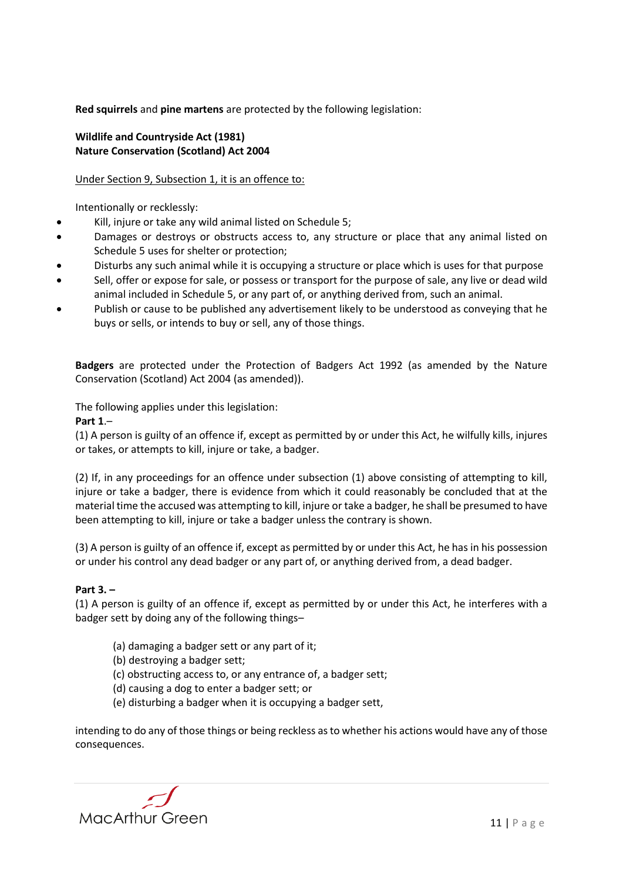**Red squirrels** and **pine martens** are protected by the following legislation:

# **Wildlife and Countryside Act (1981) Nature Conservation (Scotland) Act 2004**

# Under Section 9, Subsection 1, it is an offence to:

Intentionally or recklessly:

- Kill, injure or take any wild animal listed on Schedule 5;
- Damages or destroys or obstructs access to, any structure or place that any animal listed on Schedule 5 uses for shelter or protection;
- Disturbs any such animal while it is occupying a structure or place which is uses for that purpose
- Sell, offer or expose for sale, or possess or transport for the purpose of sale, any live or dead wild animal included in Schedule 5, or any part of, or anything derived from, such an animal.
- Publish or cause to be published any advertisement likely to be understood as conveying that he buys or sells, or intends to buy or sell, any of those things.

**Badgers** are protected under the Protection of Badgers Act 1992 (as amended by the Nature Conservation (Scotland) Act 2004 (as amended)).

The following applies under this legislation:

**Part 1**.–

(1) A person is guilty of an offence if, except as permitted by or under this Act, he wilfully kills, injures or takes, or attempts to kill, injure or take, a badger.

(2) If, in any proceedings for an offence under subsection (1) above consisting of attempting to kill, injure or take a badger, there is evidence from which it could reasonably be concluded that at the material time the accused was attempting to kill, injure or take a badger, he shall be presumed to have been attempting to kill, injure or take a badger unless the contrary is shown.

(3) A person is guilty of an offence if, except as permitted by or under this Act, he has in his possession or under his control any dead badger or any part of, or anything derived from, a dead badger.

# **Part 3. –**

(1) A person is guilty of an offence if, except as permitted by or under this Act, he interferes with a badger sett by doing any of the following things–

- (a) damaging a badger sett or any part of it;
- (b) destroying a badger sett;
- (c) obstructing access to, or any entrance of, a badger sett;
- (d) causing a dog to enter a badger sett; or
- (e) disturbing a badger when it is occupying a badger sett,

intending to do any of those things or being reckless as to whether his actions would have any of those consequences.

**MacArthur Green**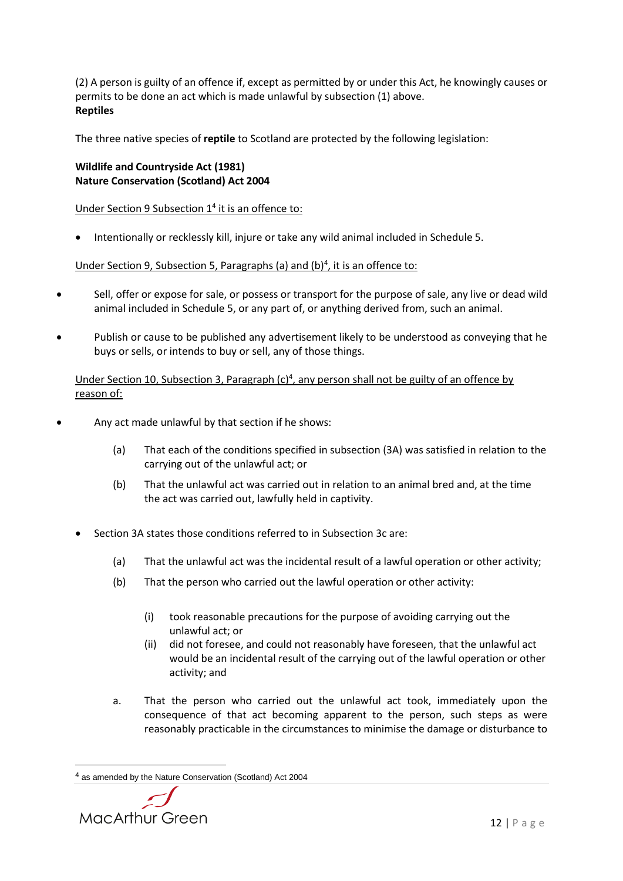(2) A person is guilty of an offence if, except as permitted by or under this Act, he knowingly causes or permits to be done an act which is made unlawful by subsection (1) above. **Reptiles**

The three native species of **reptile** to Scotland are protected by the following legislation:

# **Wildlife and Countryside Act (1981) Nature Conservation (Scotland) Act 2004**

Under Section 9 Subsection 1<sup>4</sup> it is an offence to:

Intentionally or recklessly kill, injure or take any wild animal included in Schedule 5.

Under Section 9, Subsection 5, Paragraphs (a) and (b)<sup>4</sup>, it is an offence to:

- Sell, offer or expose for sale, or possess or transport for the purpose of sale, any live or dead wild animal included in Schedule 5, or any part of, or anything derived from, such an animal.
- Publish or cause to be published any advertisement likely to be understood as conveying that he buys or sells, or intends to buy or sell, any of those things.

Under Section 10, Subsection 3, Paragraph (c)<sup>4</sup>, any person shall not be guilty of an offence by reason of:

- Any act made unlawful by that section if he shows:
	- (a) That each of the conditions specified in subsection (3A) was satisfied in relation to the carrying out of the unlawful act; or
	- (b) That the unlawful act was carried out in relation to an animal bred and, at the time the act was carried out, lawfully held in captivity.
	- Section 3A states those conditions referred to in Subsection 3c are:
		- (a) That the unlawful act was the incidental result of a lawful operation or other activity;
		- (b) That the person who carried out the lawful operation or other activity:
			- (i) took reasonable precautions for the purpose of avoiding carrying out the unlawful act; or
			- (ii) did not foresee, and could not reasonably have foreseen, that the unlawful act would be an incidental result of the carrying out of the lawful operation or other activity; and
		- a. That the person who carried out the unlawful act took, immediately upon the consequence of that act becoming apparent to the person, such steps as were reasonably practicable in the circumstances to minimise the damage or disturbance to

<sup>4</sup> as amended by the Nature Conservation (Scotland) Act 2004



1